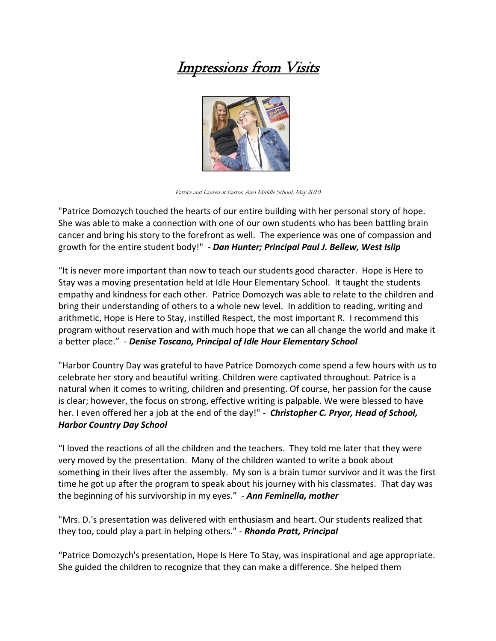## Impressions from Visits



Patrice and Lauren at Easton Area Middle School, May 2010

"Patrice Domozych touched the hearts of our entire building with her personal story of hope. She was able to make a connection with one of our own students who has been battling brain cancer and bring his story to the forefront as well. The experience was one of compassion and growth for the entire student body!" - *Dan Hunter; Principal Paul J. Bellew, West Islip*

"It is never more important than now to teach our students good character. Hope is Here to Stay was a moving presentation held at Idle Hour Elementary School. It taught the students empathy and kindness for each other. Patrice Domozych was able to relate to the children and bring their understanding of others to a whole new level. In addition to reading, writing and arithmetic, Hope is Here to Stay, instilled Respect, the most important R. I recommend this program without reservation and with much hope that we can all change the world and make it a better place." - *Denise Toscano, Principal of Idle Hour Elementary School*

"Harbor Country Day was grateful to have Patrice Domozych come spend a few hours with us to celebrate her story and beautiful writing. Children were captivated throughout. Patrice is a natural when it comes to writing, children and presenting. Of course, her passion for the cause is clear; however, the focus on strong, effective writing is palpable. We were blessed to have her. I even offered her a job at the end of the day!" - *Christopher C. Pryor, Head of School, Harbor Country Day School*

"I loved the reactions of all the children and the teachers. They told me later that they were very moved by the presentation. Many of the children wanted to write a book about something in their lives after the assembly. My son is a brain tumor survivor and it was the first time he got up after the program to speak about his journey with his classmates. That day was the beginning of his survivorship in my eyes." - *Ann Feminella, mother*

"Mrs. D.'s presentation was delivered with enthusiasm and heart. Our students realized that they too, could play a part in helping others." - *Rhonda Pratt, Principal*

"Patrice Domozych's presentation, Hope Is Here To Stay, was inspirational and age appropriate. She guided the children to recognize that they can make a difference. She helped them